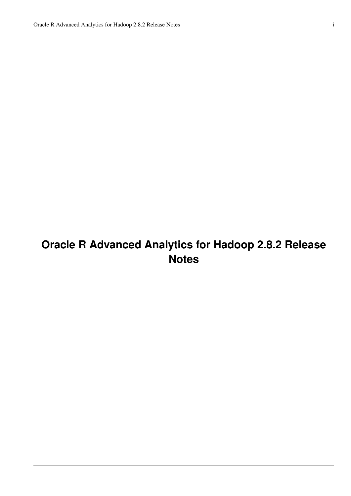# **Oracle R Advanced Analytics for Hadoop 2.8.2 Release Notes**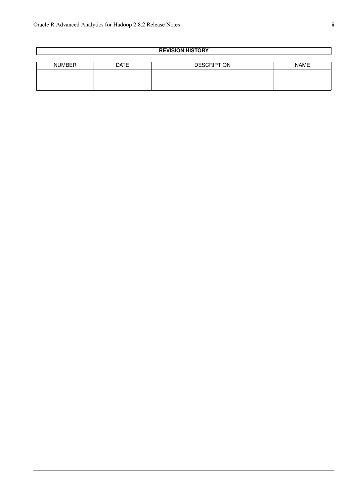| <b>REVISION HISTORY</b> |             |                    |             |  |
|-------------------------|-------------|--------------------|-------------|--|
|                         |             |                    |             |  |
| <b>NUMBER</b>           | <b>DATE</b> | <b>DESCRIPTION</b> | <b>NAME</b> |  |
|                         |             |                    |             |  |
|                         |             |                    |             |  |
|                         |             |                    |             |  |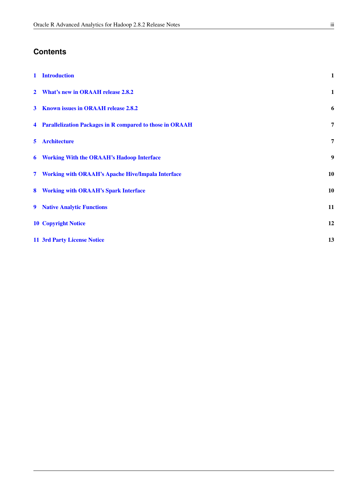## **Contents**

| $\mathbf{1}$ | <b>Introduction</b>                                        | $\mathbf{1}$ |
|--------------|------------------------------------------------------------|--------------|
| $\mathbf{2}$ | <b>What's new in ORAAH release 2.8.2</b>                   | $\mathbf{1}$ |
| $\mathbf{3}$ | <b>Known issues in ORAAH release 2.8.2</b>                 | 6            |
|              | 4 Parallelization Packages in R compared to those in ORAAH | 7            |
| 5            | <b>Architecture</b>                                        | 7            |
|              | 6 Working With the ORAAH's Hadoop Interface                | 9            |
|              | 7 Working with ORAAH's Apache Hive/Impala Interface        | 10           |
| 8            | <b>Working with ORAAH's Spark Interface</b>                | 10           |
| 9            | <b>Native Analytic Functions</b>                           | 11           |
|              | <b>10 Copyright Notice</b>                                 | 12           |
|              | <b>11 3rd Party License Notice</b>                         | 13           |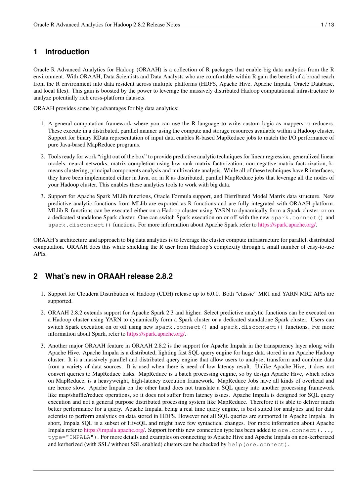#### <span id="page-3-0"></span>**1 Introduction**

Oracle R Advanced Analytics for Hadoop (ORAAH) is a collection of R packages that enable big data analytics from the R environment. With ORAAH, Data Scientists and Data Analysts who are comfortable within R gain the benefit of a broad reach from the R environment into data resident across multiple platforms (HDFS, Apache Hive, Apache Impala, Oracle Database, and local files). This gain is boosted by the power to leverage the massively distributed Hadoop computational infrastructure to analyze potentially rich cross-platform datasets.

ORAAH provides some big advantages for big data analytics:

- 1. A general computation framework where you can use the R language to write custom logic as mappers or reducers. These execute in a distributed, parallel manner using the compute and storage resources available within a Hadoop cluster. Support for binary RData representation of input data enables R-based MapReduce jobs to match the I/O performance of pure Java-based MapReduce programs.
- 2. Tools ready for work "right out of the box" to provide predictive analytic techniques for linear regression, generalized linear models, neural networks, matrix completion using low rank matrix factorization, non-negative matrix factorization, kmeans clustering, principal components analysis and multivariate analysis. While all of these techniques have R interfaces, they have been implemented either in Java, or, in R as distributed, parallel MapReduce jobs that leverage all the nodes of your Hadoop cluster. This enables these analytics tools to work with big data.
- 3. Support for Apache Spark MLlib functions, Oracle Formula support, and Distributed Model Matrix data structure. New predictive analytic functions from MLlib are exported as R functions and are fully integrated with ORAAH platform. MLlib R functions can be executed either on a Hadoop cluster using YARN to dynamically form a Spark cluster, or on a dedicated standalone Spark cluster. One can switch Spark execution on or off with the new spark.connect() and spark.disconnect() functions. For more information about Apache Spark refer to [https://spark.apache.org/.](https://spark.apache.org/)

ORAAH's architecture and approach to big data analytics is to leverage the cluster compute infrastructure for parallel, distributed computation. ORAAH does this while shielding the R user from Hadoop's complexity through a small number of easy-to-use APIs.

#### <span id="page-3-1"></span>**2 What's new in ORAAH release 2.8.2**

- 1. Support for Cloudera Distribution of Hadoop (CDH) release up to 6.0.0. Both "classic" MR1 and YARN MR2 APIs are supported.
- 2. ORAAH 2.8.2 extends support for Apache Spark 2.3 and higher. Select predictive analytic functions can be executed on a Hadoop cluster using YARN to dynamically form a Spark cluster or a dedicated standalone Spark cluster. Users can switch Spark execution on or off using new spark.connect() and spark.disconnect() functions. For more information about Spark, refer to [https://spark.apache.org/.](https://spark.apache.org/)
- 3. Another major ORAAH feature in ORAAH 2.8.2 is the support for Apache Impala in the transparency layer along with Apache Hive. Apache Impala is a distributed, lighting fast SQL query engine for huge data stored in an Apache Hadoop cluster. It is a massively parallel and distributed query engine that allow users to analyse, transform and combine data from a variety of data sources. It is used when there is need of low latency result. Unlike Apache Hive, it does not convert queries to MapReduce tasks. MapReduce is a batch processing engine, so by design Apache Hive, which relies on MapReduce, is a heavyweight, high-latency execution framework. MapReduce Jobs have all kinds of overhead and are hence slow. Apache Impala on the other hand does not translate a SQL query into another processing framework like map/shuffle/reduce operations, so it does not suffer from latency issues. Apache Impala is designed for SQL query execution and not a general purpose distributed processing system like MapReduce. Therefore it is able to deliver much better performance for a query. Apache Impala, being a real time query engine, is best suited for analytics and for data scientist to perform analytics on data stored in HDFS. However not all SQL queries are supported in Apache Impala. In short, Impala SQL is a subset of HiveQL and might have few syntactical changes. For more information about Apache Impala refer to [https://impala.apache.org/.](https://impala.apache.org/) Support for this new connection type has been added to  $\circ$ re.connect $(\ldots,$ type="IMPALA"). For more details and examples on connecting to Apache Hive and Apache Impala on non-kerberized and kerberized (with SSL/ without SSL enabled) clusters can be checked by help(ore.connect).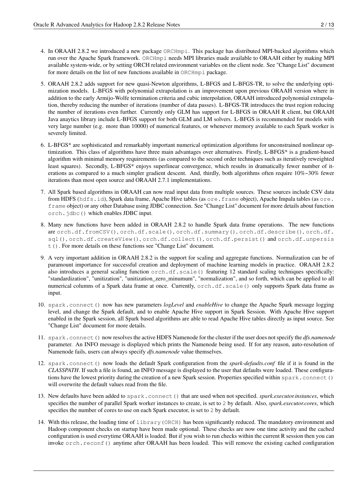- 4. In ORAAH 2.8.2 we introduced a new package ORCHmpi. This package has distributed MPI-backed algorithms which run over the Apache Spark framework. ORCHmpi needs MPI libraries made available to ORAAH either by making MPI available system-wide, or by setting ORCH related environment variables on the client node. See "Change List" document for more details on the list of new functions available in ORCHmpi package.
- 5. ORAAH 2.8.2 adds support for new quasi-Newton algorithms, L-BFGS and L-BFGS-TR, to solve the underlying optimization models. L-BFGS with polynomial extrapolation is an improvement upon previous ORAAH version where in addition to the early Armijo-Wolfe termination criteria and cubic interpolation, ORAAH introduced polynomial extrapolation, thereby reducing the number of iterations (number of data passes). L-BFGS-TR introduces the trust region reducing the number of iterations even further. Currently only GLM has support for L-BFGS in ORAAH R client, but ORAAH Java anaytics library include L-BFGS support for both GLM and LM solvers. L-BFGS is recommended for models with very large number (e.g. more than 10000) of numerical features, or whenever memory available to each Spark worker is severely limited.
- 6. L-BFGS\* are sophisticated and remarkably important numerical optimization algorithms for unconstrained nonlinear optimization. This class of algorithms have three main advantages over alternatives. Firstly, L-BFGS\* is a gradient-based algorithm with minimal memory requirements (as compared to the second order techniques such as iteratively reweighted least squares). Secondly, L-BFGS\* enjoys superlinear convergence, which results in dramatically fewer number of iterations as compared to a much simpler gradient descent. And, thirdly, both algorithms often require 10%~30% fewer iterations than most open source and ORAAH 2.7.1 implementations.
- 7. All Spark based algorithms in ORAAH can now read input data from multiple sources. These sources include CSV data from HDFS (hdfs.id), Spark data frame, Apache Hive tables (as ore.frame object), Apache Impala tables (as ore. frame object) or any other Database using JDBC connection. See "Change List" document for more details about function orch.jdbc() which enables JDBC input.
- 8. Many new functions have been added in ORAAH 2.8.2 to handle Spark data frame operations. The new functions are orch.df.fromCSV(), orch.df.scale(), orch.df.summary(), orch.df.describe(), orch.df. sql(), orch.df.createView(), orch.df.collect(), orch.df.persist() and orch.df.unpersis t(). For more details on these functions see "Change List" document.
- 9. A very important addition in ORAAH 2.8.2 is the support for scaling and aggregate functions. Normalization can be of paramount importance for successful creation and deployment of machine learning models in practice. ORAAH 2.8.2 also introduces a general scaling function orch.df.scale() featuring 12 standard scaling techniques specifically: "standardization", "unitization", "unitization\_zero\_minumum", "normalization", and so forth, which can be applied to all numerical columns of a Spark data frame at once. Currently, orch.df.scale() only supports Spark data frame as input.
- 10. spark.connect() now has new parameters *logLevel* and *enableHive* to change the Apache Spark message logging level, and change the Spark default, and to enable Apache Hive support in Spark Session. With Apache Hive support enabled in the Spark session, all Spark based algorithms are able to read Apache Hive tables directly as input source. See "Change List" document for more details.
- 11. spark.connect() now resolves the active HDFS Namenode for the cluster if the user does not specify the *dfs.namenode* parameter. An INFO message is displayed which prints the Namenode being used. If for any reason, auto-resolution of Namenode fails, users can always specify *dfs.namenode* value themselves.
- 12. spark.connect() now loads the default Spark configuration from the *spark-defaults.conf* file if it is found in the *CLASSPATH*. If such a file is found, an INFO message is displayed to the user that defaults were loaded. These configurations have the lowest priority during the creation of a new Spark session. Properties specified within spark.connect() will overwrite the default values read from the file.
- 13. New defaults have been added to spark.connect() that are used when not specified. *spark.executor.instances*, which specifies the number of parallel Spark worker instances to create, is set to 2 by default. Also, *spark.executor.cores*, which specifies the number of cores to use on each Spark executor, is set to 2 by default.
- 14. With this release, the loading time of library(ORCH) has been significantly reduced. The mandatory environment and Hadoop component checks on startup have been made optional. These checks are now one time activity and the cached configuration is used everytime ORAAH is loaded. But if you wish to run checks within the current R session then you can invoke orch.reconf() anytime after ORAAH has been loaded. This will remove the existing cached configuration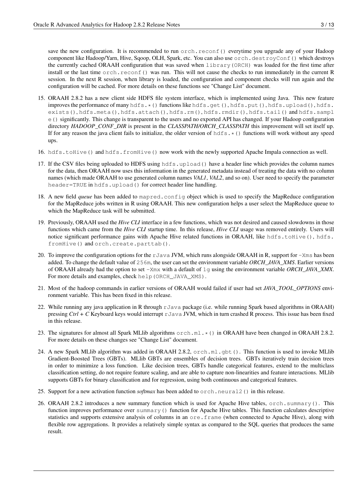save the new configuration. It is recommended to run orch, reconf() everytime you upgrade any of your Hadoop component like Hadoop/Yarn, Hive, Sqoop, OLH, Spark, etc. You can also use orch.destroyConf() which destroys the currently cached ORAAH configuration that was saved when library(ORCH) was loaded for the first time after install or the last time orch.reconf() was run. This will not cause the checks to run immediately in the current R session. In the next R session, when library is loaded, the configuration and component checks will run again and the configuration will be cached. For more details on these functions see "Change List" document.

- 15. ORAAH 2.8.2 has a new client side HDFS file system interface, which is implemented using Java. This new feature improves the performance of many hdfs. \* () functions like hdfs.get(), hdfs.put(), hdfs.upload(), hdfs. exists(), hdfs.meta(), hdfs.attach(), hdfs.rm(), hdfs.rmdir(), hdfs.tail() and hdfs.sampl e() significantly. This change is transparent to the users and no exported API has changed. If your Hadoop configuration directory *HADOOP\_CONF\_DIR* is present in the *CLASSPATH/ORCH\_CLASSPATH* this improvement will set itself up. If for any reason the java client fails to initialize, the older version of  $hdfs.*($ ) functions will work without any speed ups.
- 16. hdfs.toHive() and hdfs.fromHive() now work with the newly supported Apache Impala connection as well.
- 17. If the CSV files being uploaded to HDFS using hdfs.upload() have a header line which provides the column names for the data, then ORAAH now uses this information in the generated metadata instead of treating the data with no column names (which made ORAAH to use generated column names *VAL1*, *VAL2*, and so on). User need to specify the parameter header=TRUE in hdfs.upload() for correct header line handling.
- 18. A new field *queue* has been added to mapred.config object which is used to specify the MapReduce configuration for the MapReduce jobs written in R using ORAAH. This new configuration helps a user select the MapReduce queue to which the MapReduce task will be submitted.
- 19. Previously, ORAAH used the *Hive CLI* interface in a few functions, which was not desired and caused slowdowns in those functions which came from the *Hive CLI* startup time. In this release, *Hive CLI* usage was removed entirely. Users will notice significant performance gains with Apache Hive related functions in ORAAH, like hdfs.toHive(), hdfs. fromHive() and orch.create.parttab().
- 20. To improve the configuration options for the  $r$ Java JVM, which runs alongside ORAAH in R, support for  $-x$ ms has been added. To change the default value of 256m, the user can set the environment variable *ORCH\_JAVA\_XMS*. Earlier versions of ORAAH already had the option to set -Xmx with a default of 1g using the environment variable *ORCH\_JAVA\_XMX*. For more details and examples, check help(ORCH\_JAVA\_XMS).
- 21. Most of the hadoop commands in earlier versions of ORAAH would failed if user had set *JAVA\_TOOL\_OPTIONS* environment variable. This has been fixed in this release.
- 22. While running any java application in R through  $r$ Java package (i.e. while running Spark based algorithms in ORAAH) pressing *Ctrl + C* Keyboard keys would interrupt rJava JVM, which in turn crashed R process. This issue has been fixed in this release.
- 23. The signatures for almost all Spark MLlib algorithms  $\circ$ rch.ml. $\star$ () in ORAAH have been changed in ORAAH 2.8.2. For more details on these changes see "Change List" document.
- 24. A new Spark MLlib algorithm was added in ORAAH 2.8.2, orch.ml.gbt(). This function is used to invoke MLlib Gradient-Boosted Trees (GBTs). MLlib GBTs are ensembles of decision trees. GBTs iteratively train decision trees in order to minimize a loss function. Like decision trees, GBTs handle categorical features, extend to the multiclass classification setting, do not require feature scaling, and are able to capture non-linearities and feature interactions. MLlib supports GBTs for binary classification and for regression, using both continuous and categorical features.
- 25. Support for a new activation function *softmax* has been added to orch.neural2() in this release.
- 26. ORAAH 2.8.2 introduces a new summary function which is used for Apache Hive tables, orch.summary(). This function improves performance over summary() function for Apache Hive tables. This function calculates descriptive statistics and supports extensive analysis of columns in an ore. frame (when connected to Apache Hive), along with flexible row aggregations. It provides a relatively simple syntax as compared to the SQL queries that produces the same result.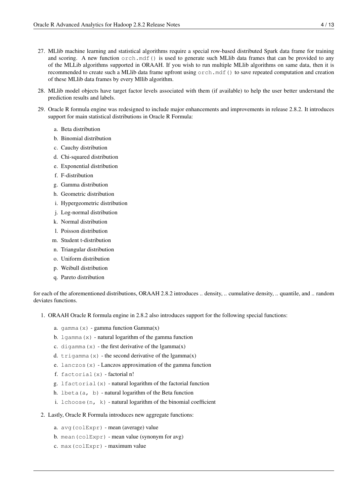- 27. MLlib machine learning and statistical algorithms require a special row-based distributed Spark data frame for training and scoring. A new function orch.mdf() is used to generate such MLlib data frames that can be provided to any of the MLLib algorithms supported in ORAAH. If you wish to run multiple MLlib algorithms on same data, then it is recommended to create such a MLlib data frame upfront using orch.mdf() to save repeated computation and creation of these MLlib data frames by every Mllib algorithm.
- 28. MLlib model objects have target factor levels associated with them (if available) to help the user better understand the prediction results and labels.
- 29. Oracle R formula engine was redesigned to include major enhancements and improvements in release 2.8.2. It introduces support for main statistical distributions in Oracle R Formula:
	- a. Beta distribution
	- b. Binomial distribution
	- c. Cauchy distribution
	- d. Chi-squared distribution
	- e. Exponential distribution
	- f. F-distribution
	- g. Gamma distribution
	- h. Geometric distribution
	- i. Hypergeometric distribution
	- j. Log-normal distribution
	- k. Normal distribution
	- l. Poisson distribution
	- m. Student t-distribution
	- n. Triangular distribution
	- o. Uniform distribution
	- p. Weibull distribution
	- q. Pareto distribution

for each of the aforementioned distributions, ORAAH 2.8.2 introduces .. density, .. cumulative density, .. quantile, and .. random deviates functions.

- 1. ORAAH Oracle R formula engine in 2.8.2 also introduces support for the following special functions:
	- a. gamma $(x)$  gamma function Gamma $(x)$
	- b.  $lqamma(x)$  natural logarithm of the gamma function
	- c. digamma $(x)$  the first derivative of the lgamma $(x)$
	- d.  $trigamma(x)$  the second derivative of the lgamma $(x)$
	- e. lanczos $(x)$  Lanczos approximation of the gamma function
	- f. factorial $(x)$  factorial n!
	- g. lfactorial(x) natural logarithm of the factorial function
	- h. lbeta(a, b) natural logarithm of the Beta function
	- i.  $lchoose(n, k)$  natural logarithm of the binomial coefficient
- 2. Lastly, Oracle R Formula introduces new aggregate functions:
	- a. avg(colExpr) mean (average) value
	- b. mean(colExpr) mean value (synonym for avg)
	- c. max(colExpr) maximum value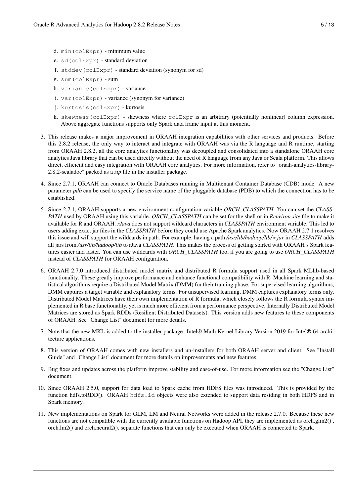- d. min(colExpr) minimum value
- e. sd(colExpr) standard deviation
- f. stddev(colExpr) standard deviation (synonym for sd)
- g. sum(colExpr) sum
- h. variance(colExpr) variance
- i. var(colExpr) variance (synonym for variance)
- j. kurtosis(colExpr) kurtosis
- k. skewness(colExpr) skewness where colExpr is an arbitrary (potentially nonlinear) column expression. Above aggregate functions supports only Spark data frame input at this moment.
- 3. This release makes a major improvement in ORAAH integration capabilities with other services and products. Before this 2.8.2 release, the only way to interact and integrate with ORAAH was via the R language and R runtime, starting from ORAAH 2.8.2, all the core analytics functionality was decoupled and consolidated into a standalone ORAAH core analytics Java library that can be used directly without the need of R language from any Java or Scala platform. This allows direct, efficient and easy integration with ORAAH core analytics. For more information, refer to "oraah-analytics-library-2.8.2-scaladoc" packed as a *zip* file in the installer package.
- 4. Since 2.7.1, ORAAH can connect to Oracle Databases running in Multitenant Container Database (CDB) mode. A new parameter *pdb* can be used to specify the service name of the pluggable database (PDB) to which the connection has to be established.
- 5. Since 2.7.1, ORAAH supports a new environment configuration variable *ORCH\_CLASSPATH*. You can set the *CLASS-PATH* used by ORAAH using this variable. *ORCH\_CLASSPATH* can be set for the shell or in *Renviron.site* file to make it available for R and ORAAH. *rJava* does not support wildcard characters in *CLASSPATH* environment variable. This led to users adding exact jar files in the *CLASSPATH* before they could use Apache Spark analytics. Now ORAAH 2.7.1 resolves this issue and will support the wildcards in path. For example, having a path */usr/lib/hadoop/lib/*\**.jar* in *CLASSPATH* adds all jars from */usr/lib/hadoop/lib* to rJava *CLASSPATH*. This makes the process of getting started with ORAAH's Spark features easier and faster. You can use wildcards with *ORCH\_CLASSPATH* too, if you are going to use *ORCH\_CLASSPATH* instead of *CLASSPATH* for ORAAH configuration.
- 6. ORAAH 2.7.0 introduced distributed model matrix and distributed R formula support used in all Spark MLlib-based functionality. These greatly improve performance and enhance functional compatibility with R. Machine learning and statistical algorithms require a Distributed Model Matrix (DMM) for their training phase. For supervised learning algorithms, DMM captures a target variable and explanatory terms. For unsupervised learning, DMM captures explanatory terms only. Distributed Model Matrices have their own implementation of R formula, which closely follows the R formula syntax implemented in R base functionality, yet is much more efficient from a performance perspective. Internally Distributed Model Matrices are stored as Spark RDDs (Resilient Distributed Datasets). This version adds new features to these components of ORAAH. See "Change List" document for more details.
- 7. Note that the new MKL is added to the installer package: Intel® Math Kernel Library Version 2019 for Intel® 64 architecture applications.
- 8. This version of ORAAH comes with new installers and un-installers for both ORAAH server and client. See "Install Guide" and "Change List" document for more details on improvements and new features.
- 9. Bug fixes and updates across the platform improve stability and ease-of-use. For more information see the "Change List" document.
- 10. Since ORAAH 2.5.0, support for data load to Spark cache from HDFS files was introduced. This is provided by the function hdfs.toRDD(). ORAAH hdfs.id objects were also extended to support data residing in both HDFS and in Spark memory.
- 11. New implementations on Spark for GLM, LM and Neural Networks were added in the release 2.7.0. Because these new functions are not compatible with the currently available functions on Hadoop API, they are implemented as orch.glm2() , orch.lm2() and orch.neural2(), separate functions that can only be executed when ORAAH is connected to Spark.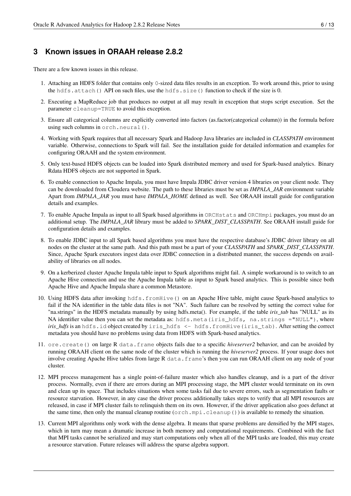## <span id="page-8-0"></span>**3 Known issues in ORAAH release 2.8.2**

There are a few known issues in this release.

- 1. Attaching an HDFS folder that contains only 0-sized data files results in an exception. To work around this, prior to using the hdfs.attach() API on such files, use the hdfs.size() function to check if the size is 0.
- 2. Executing a MapReduce job that produces no output at all may result in exception that stops script execution. Set the parameter cleanup=TRUE to avoid this exception.
- 3. Ensure all categorical columns are explicitly converted into factors (as.factor(categorical column)) in the formula before using such columns in orch.neural().
- 4. Working with Spark requires that all necessary Spark and Hadoop Java libraries are included in *CLASSPATH* environment variable. Otherwise, connections to Spark will fail. See the installation guide for detailed information and examples for configuring ORAAH and the system environment.
- 5. Only text-based HDFS objects can be loaded into Spark distributed memory and used for Spark-based analytics. Binary Rdata HDFS objects are not supported in Spark.
- 6. To enable connection to Apache Impala, you must have Impala JDBC driver version 4 libraries on your client node. They can be downloaded from Cloudera website. The path to these libraries must be set as *IMPALA\_JAR* environment variable Apart from *IMPALA\_JAR* you must have *IMPALA\_HOME* defined as well. See ORAAH install guide for configuration details and examples.
- 7. To enable Apache Impala as input to all Spark based algorithms in ORCHstats and ORCHmpi packages, you must do an additional setup. The *IMPALA\_JAR* library must be added to *SPARK\_DIST\_CLASSPATH*. See ORAAH install guide for configuration details and examples.
- 8. To enable JDBC input to all Spark based algorithms you must have the respective database's JDBC driver library on all nodes on the cluster at the same path. And this path must be a part of your *CLASSPATH* and *SPARK\_DIST\_CLASSPATH*. Since, Apache Spark executors ingest data over JDBC connection in a distributed manner, the success depends on availability of libraries on all nodes.
- 9. On a kerberized cluster Apache Impala table input to Spark algorithms might fail. A simple workaround is to switch to an Apache Hive connection and use the Apache Impala table as input to Spark based analytics. This is possible since both Apache Hive and Apache Impala share a common Metastore.
- 10. Using HDFS data after invoking hdfs.fromHive() on an Apache Hive table, might cause Spark-based analytics to fail if the NA identifier in the table data files is not "NA". Such failure can be resolved by setting the correct value for "na.strings" in the HDFS metadata manually by using hdfs.meta(). For example, if the table *iris\_tab* has "NULL" as its NA identifier value then you can set the metadata as: hdfs.meta(iris\_hdfs, na.strings ="NULL"), where *iris\_hdfs* is an hdfs.id object created by iris\_hdfs <- hdfs.fromHive(iris\_tab). After setting the correct metadata you should have no problems using data from HDFS with Spark-based analytics.
- 11. ore.create() on large R data.frame objects fails due to a specific *hiveserver2* behavior, and can be avoided by running ORAAH client on the same node of the cluster which is running the *hiveserver2* process. If your usage does not involve creating Apache Hive tables from large R data.frame's then you can run ORAAH client on any node of your cluster.
- 12. MPI process management has a single point-of-failure master which also handles cleanup, and is a part of the driver process. Normally, even if there are errors during an MPI processing stage, the MPI cluster would terminate on its own and clean up its space. That includes situations when some tasks fail due to severe errors, such as segmentation faults or resource starvation. However, in any case the driver process additionally takes steps to verify that all MPI resources are released, in case if MPI cluster fails to relinquish them on its own. However, if the driver application also goes defunct at the same time, then only the manual cleanup routine (orch.mpi.cleanup()) is available to remedy the situation.
- 13. Current MPI algorithms only work with the dense algebra. It means that sparse problems are densified by the MPI stages, which in turn may mean a dramatic increase in both memory and computational requirements. Combined with the fact that MPI tasks cannot be serialized and may start computations only when all of the MPI tasks are loaded, this may create a resource starvation. Future releases will address the sparse algebra support.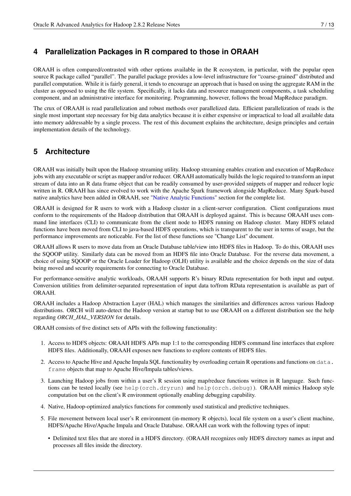### <span id="page-9-0"></span>**4 Parallelization Packages in R compared to those in ORAAH**

ORAAH is often compared/contrasted with other options available in the R ecosystem, in particular, with the popular open source R package called "parallel". The parallel package provides a low-level infrastructure for "coarse-grained" distributed and parallel computation. While it is fairly general, it tends to encourage an approach that is based on using the aggregate RAM in the cluster as opposed to using the file system. Specifically, it lacks data and resource management components, a task scheduling component, and an administrative interface for monitoring. Programming, however, follows the broad MapReduce paradigm.

The crux of ORAAH is read parallelization and robust methods over parallelized data. Efficient parallelization of reads is the single most important step necessary for big data analytics because it is either expensive or impractical to load all available data into memory addressable by a single process. The rest of this document explains the architecture, design principles and certain implementation details of the technology.

### <span id="page-9-1"></span>**5 Architecture**

ORAAH was initially built upon the Hadoop streaming utility. Hadoop streaming enables creation and execution of MapReduce jobs with any executable or script as mapper and/or reducer. ORAAH automatically builds the logic required to transform an input stream of data into an R data frame object that can be readily consumed by user-provided snippets of mapper and reducer logic written in R. ORAAH has since evolved to work with the Apache Spark framework alongside MapReduce. Many Spark-based native analytics have been added in ORAAH, see ["Native Analytic Functions"](#page-13-1) section for the complete list.

ORAAH is designed for R users to work with a Hadoop cluster in a client-server configuration. Client configurations must conform to the requirements of the Hadoop distribution that ORAAH is deployed against. This is because ORAAH uses command line interfaces (CLI) to communicate from the client node to HDFS running on Hadoop cluster. Many HDFS related functions have been moved from CLI to java-based HDFS operations, which is transparent to the user in terms of usage, but the performance improvements are noticeable. For the list of these functions see "Change List" document.

ORAAH allows R users to move data from an Oracle Database table/view into HDFS files in Hadoop. To do this, ORAAH uses the SQOOP utility. Similarly data can be moved from an HDFS file into Oracle Database. For the reverse data movement, a choice of using SQOOP or the Oracle Loader for Hadoop (OLH) utility is available and the choice depends on the size of data being moved and security requirements for connecting to Oracle Database.

For performance-sensitive analytic workloads, ORAAH supports R's binary RData representation for both input and output. Conversion utilities from delimiter-separated representation of input data to/from RData representation is available as part of ORAAH.

ORAAH includes a Hadoop Abstraction Layer (HAL) which manages the similarities and differences across various Hadoop distributions. ORCH will auto-detect the Hadoop version at startup but to use ORAAH on a different distribution see the help regarding *ORCH\_HAL\_VERSION* for details.

ORAAH consists of five distinct sets of APIs with the following functionality:

- 1. Access to HDFS objects: ORAAH HDFS APIs map 1:1 to the corresponding HDFS command line interfaces that explore HDFS files. Additionally, ORAAH exposes new functions to explore contents of HDFS files.
- 2. Access to Apache Hive and Apache Impala SQL functionality by overloading certain R operations and functions on data. frame objects that map to Apache Hive/Impala tables/views.
- 3. Launching Hadoop jobs from within a user's R session using map/reduce functions written in R language. Such functions can be tested locally (see help(orch.dryrun) and help(orch.debug)). ORAAH mimics Hadoop style computation but on the client's R environment optionally enabling debugging capability.
- 4. Native, Hadoop-optimized analytics functions for commonly used statistical and predictive techniques.
- 5. File movement between local user's R environment (in-memory R objects), local file system on a user's client machine, HDFS/Apache Hive/Apache Impala and Oracle Database. ORAAH can work with the following types of input:
	- Delimited text files that are stored in a HDFS directory. (ORAAH recognizes only HDFS directory names as input and processes all files inside the directory.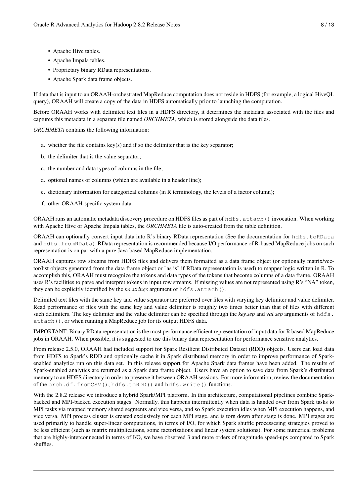- Apache Hive tables.
- Apache Impala tables.
- Proprietary binary RData representations.
- Apache Spark data frame objects.

If data that is input to an ORAAH-orchestrated MapReduce computation does not reside in HDFS (for example, a logical HiveQL query), ORAAH will create a copy of the data in HDFS automatically prior to launching the computation.

Before ORAAH works with delimited text files in a HDFS directory, it determines the metadata associated with the files and captures this metadata in a separate file named *ORCHMETA*, which is stored alongside the data files.

*ORCHMETA* contains the following information:

- a. whether the file contains key(s) and if so the delimiter that is the key separator;
- b. the delimiter that is the value separator;
- c. the number and data types of columns in the file;
- d. optional names of columns (which are available in a header line);
- e. dictionary information for categorical columns (in R terminology, the levels of a factor column);
- f. other ORAAH-specific system data.

ORAAH runs an automatic metadata discovery procedure on HDFS files as part of hdfs.attach() invocation. When working with Apache Hive or Apache Impala tables, the *ORCHMETA* file is auto-created from the table definition.

ORAAH can optionally convert input data into R's binary RData representation (See the documentation for hdfs.toRData and hdfs.fromRData). RData representation is recommended because I/O performance of R-based MapReduce jobs on such representation is on par with a pure Java based MapReduce implementation.

ORAAH captures row streams from HDFS files and delivers them formatted as a data frame object (or optionally matrix/vector/list objects generated from the data frame object or "as is" if RData representation is used) to mapper logic written in R. To accomplish this, ORAAH must recognize the tokens and data types of the tokens that become columns of a data frame. ORAAH uses R's facilities to parse and interpret tokens in input row streams. If missing values are not represented using R's "NA" token, they can be explicitly identified by the *na.strings* argument of hdfs.attach().

Delimited text files with the same key and value separator are preferred over files with varying key delimiter and value delimiter. Read performance of files with the same key and value delimiter is roughly two times better than that of files with different such delimiters. The key delimiter and the value delimiter can be specified through the *key.sep* and *val.sep* arguments of hdfs. attach(), or when running a MapReduce job for its output HDFS data.

IMPORTANT: Binary RData representation is the most performance efficient representation of input data for R based MapReduce jobs in ORAAH. When possible, it is suggested to use this binary data representation for performance sensitive analytics.

From release 2.5.0, ORAAH had included support for Spark Resilient Distributed Dataset (RDD) objects. Users can load data from HDFS to Spark's RDD and optionally cache it in Spark distributed memory in order to improve performance of Sparkenabled analytics run on this data set. In this release support for Apache Spark data frames have been added. The results of Spark-enabled analytics are returned as a Spark data frame object. Users have an option to save data from Spark's distributed memory to an HDFS directory in order to preserve it between ORAAH sessions. For more information, review the documentation of the orch.df.fromCSV(), hdfs.toRDD() and hdfs.write() functions.

With the 2.8.2 release we introduce a hybrid Spark/MPI platform. In this architecture, computational pipelines combine Sparkbacked and MPI-backed execution stages. Normally, this happens intermittently when data is handed over from Spark tasks to MPI tasks via mapped memory shared segments and vice versa, and so Spark execution idles when MPI execution happens, and vice versa. MPI process cluster is created exclusively for each MPI stage, and is torn down after stage is done. MPI stages are used primarily to handle super-linear computations, in terms of I/O, for which Spark shuffle processesing strategies proved to be less efficient (such as matrix multiplications, some factorizations and linear system solutions). For some numerical problems that are highly-interconnected in terms of I/O, we have observed 3 and more orders of magnitude speed-ups compared to Spark shuffles.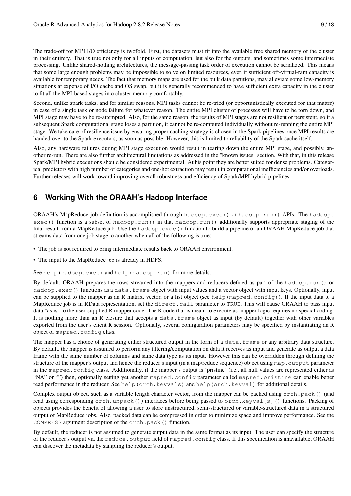The trade-off for MPI I/O efficiency is twofold. First, the datasets must fit into the available free shared memory of the cluster in their entirety. That is true not only for all inputs of computation, but also for the outputs, and sometimes some intermediate processing. Unlike shared-nothing architectures, the message-passing task order of execution cannot be serialized. This means that some large enough problems may be impossible to solve on limited resources, even if sufficient off-virtual-ram capacity is available for temporary needs. The fact that memory maps are used for the bulk data partitions, may alleviate some low-memory situations at expense of I/O cache and OS swap, but it is generally recommended to have sufficient extra capacity in the cluster to fit all the MPI-based stages into cluster memory comfortably.

Second, unlike spark tasks, and for similar reasons, MPI tasks cannot be re-tried (or opportunistically executed for that matter) in case of a single task or node failure for whatever reason. The entire MPI cluster of processes will have to be torn down, and MPI stage may have to be re-attempted. Also, for the same reason, the results of MPI stages are not resilient or persistent, so if a subsequent Spark computational stage loses a partition, it cannot be re-computed individually without re-running the entire MPI stage. We take care of resilience issue by ensuring proper caching strategy is chosen in the Spark pipelines once MPI results are handed over to the Spark executors, as soon as possible. However, this is limited to reliability of the Spark cache itself.

Also, any hardware failures during MPI stage execution would result in tearing down the entire MPI stage, and possibly, another re-run. There are also further architectural limitations as addressed in the "known issues" section. With that, in this release Spark/MPI hybrid executions should be considered experimental. At his point they are better suited for dense problems. Categorical predictors with high number of categories and one-hot extraction may result in computational inefficiencies and/or overloads. Further releases will work toward improving overall robustness and efficiency of Spark/MPI hybrid pipelines.

## <span id="page-11-0"></span>**6 Working With the ORAAH's Hadoop Interface**

**ORAAH's MapReduce job definition is accomplished through hadoop.exec() or hadoop.run() APIs. The hadoop.** exec() function is a subset of hadoop.run() in that hadoop.run() additionally supports appropriate staging of the final result from a MapReduce job. Use the hadoop.exec() function to build a pipeline of an ORAAH MapReduce job that streams data from one job stage to another when all of the following is true:

- The job is not required to bring intermediate results back to ORAAH environment.
- The input to the MapReduce job is already in HDFS.

See help (hadoop.exec) and help (hadoop.run) for more details.

By default, ORAAH prepares the rows streamed into the mappers and reducers defined as part of the hadoop.run() or hadoop.exec() functions as a data.frame object with input values and a vector object with input keys. Optionally, input can be supplied to the mapper as an R matrix, vector, or a list object (see help (mapred.config)). If the input data to a MapReduce job is in RData representation, set the direct.call parameter to TRUE. This will cause ORAAH to pass input data "as is" to the user-supplied R mapper code. The R code that is meant to execute as mapper logic requires no special coding. It is nothing more than an R closure that accepts a data.frame object as input (by default) together with other variables exported from the user's client R session. Optionally, several configuration parameters may be specified by instantiating an R object of mapred.config class.

The mapper has a choice of generating either structured output in the form of a data. frame or any arbitrary data structure. By default, the mapper is assumed to perform any filtering/computation on data it receives as input and generate as output a data frame with the same number of columns and same data type as its input. However this can be overridden through defining the structure of the mapper's output and hence the reducer's input (in a map/reduce sequence) object using map.output parameter in the mapred.config class. Additionally, if the mapper's output is 'pristine' (i.e., all null values are represented either as "NA" or "") then, optionally setting yet another mapred.config parameter called mapred.pristine can enable better read performance in the reducer. See help(orch.keyvals) and help(orch.keyval) for additional details.

Complex output object, such as a variable length character vector, from the mapper can be packed using orch.pack() (and read using corresponding orch.unpack()) interfaces before being passed to orch.keyval[s]() functions. Packing of objects provides the benefit of allowing a user to store unstructured, semi-structured or variable-structured data in a structured output of MapReduce jobs. Also, packed data can be compressed in order to minimize space and improve performance. See the COMPRESS argument description of the orch.pack() function.

By default, the reducer is not assumed to generate output data in the same format as its input. The user can specify the structure of the reducer's output via the reduce.output field of mapred.config class. If this specification is unavailable, ORAAH can discover the metadata by sampling the reducer's output.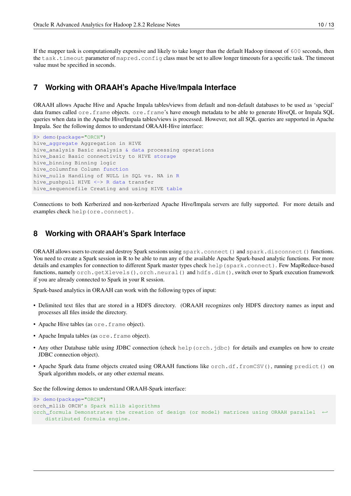If the mapper task is computationally expensive and likely to take longer than the default Hadoop timeout of 600 seconds, then the task.timeout parameter of mapred.config class must be set to allow longer timeouts for a specific task. The timeout value must be specified in seconds.

#### <span id="page-12-0"></span>**7 Working with ORAAH's Apache Hive/Impala Interface**

ORAAH allows Apache Hive and Apache Impala tables/views from default and non-default databases to be used as 'special' data frames called ore.frame objects. ore.frame's have enough metadata to be able to generate HiveQL or Impala SQL queries when data in the Apache Hive/Impala tables/views is processed. However, not all SQL queries are supported in Apache Impala. See the following demos to understand ORAAH-Hive interface:

```
R> demo(package="ORCH")
hive_aggregate Aggregation in HIVE
hive_analysis Basic analysis & data processing operations
hive_basic Basic connectivity to HIVE storage
hive_binning Binning logic
hive_columnfns Column function
hive_nulls Handling of NULL in SQL vs. NA in R
hive_pushpull HIVE <-> R data transfer
hive_sequencefile Creating and using HIVE table
```
Connections to both Kerberized and non-kerberized Apache Hive/Impala servers are fully supported. For more details and examples check help(ore.connect).

#### <span id="page-12-1"></span>**8 Working with ORAAH's Spark Interface**

ORAAH allows users to create and destroy Spark sessions using spark.connect() and spark.disconnect() functions. You need to create a Spark session in R to be able to run any of the available Apache Spark-based analytic functions. For more details and examples for connection to different Spark master types check help(spark.connect). Few MapReduce-based functions, namely orch.getXlevels(), orch.neural() and hdfs.dim(), switch over to Spark execution framework if you are already connected to Spark in your R session.

Spark-based analytics in ORAAH can work with the following types of input:

- Delimited text files that are stored in a HDFS directory. (ORAAH recognizes only HDFS directory names as input and processes all files inside the directory.
- Apache Hive tables (as ore.frame object).
- Apache Impala tables (as ore.frame object).
- Any other Database table using JDBC connection (check help (orch. jdbc) for details and examples on how to create JDBC connection object).
- Apache Spark data frame objects created using ORAAH functions like orch.df.fromCSV(), running predict() on Spark algorithm models, or any other external means.

See the following demos to understand ORAAH-Spark interface:

```
R> demo(package="ORCH")
orch_mllib ORCH's Spark mllib algorithms
orch_formula Demonstrates the creation of design (or model) matrices using ORAAH parallel \leftrightarrowdistributed formula engine.
```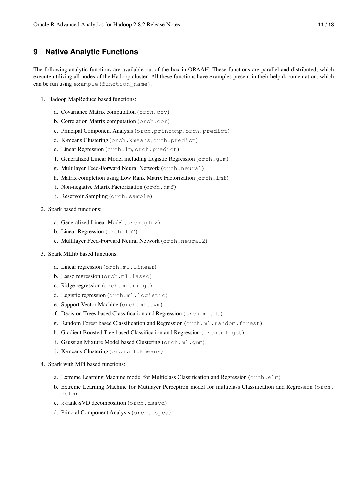#### <span id="page-13-0"></span>**9 Native Analytic Functions**

<span id="page-13-1"></span>The following analytic functions are available out-of-the-box in ORAAH. These functions are parallel and distributed, which execute utilizing all nodes of the Hadoop cluster. All these functions have examples present in their help documentation, which can be run using example(function\_name).

- 1. Hadoop MapReduce based functions:
	- a. Covariance Matrix computation (orch.cov)
	- b. Correlation Matrix computation (orch.cor)
	- c. Principal Component Analysis (orch.princomp, orch.predict)
	- d. K-means Clustering (orch.kmeans, orch.predict)
	- e. Linear Regression (orch.lm, orch.predict)
	- f. Generalized Linear Model including Logistic Regression (orch.glm)
	- g. Multilayer Feed-Forward Neural Network (orch.neural)
	- h. Matrix completion using Low Rank Matrix Factorization (orch.lmf)
	- i. Non-negative Matrix Factorization (orch.nmf)
	- j. Reservoir Sampling (orch.sample)
- 2. Spark based functions:
	- a. Generalized Linear Model (orch.glm2)
	- b. Linear Regression (orch.lm2)
	- c. Multilayer Feed-Forward Neural Network (orch.neural2)
- 3. Spark MLlib based functions:
	- a. Linear regression (orch.ml.linear)
	- b. Lasso regression (orch.ml.lasso)
	- c. Ridge regression (orch.ml.ridge)
	- d. Logistic regression (orch.ml.logistic)
	- e. Support Vector Machine (orch.ml.svm)
	- f. Decision Trees based Classification and Regression (orch.ml.dt)
	- g. Random Forest based Classification and Regression (orch.ml.random.forest)
	- h. Gradient Boosted Tree based Classification and Regression (orch.ml.gbt)
	- i. Gaussian Mixture Model based Clustering (orch.ml.gmm)
	- j. K-means Clustering (orch.ml.kmeans)
- 4. Spark with MPI based functions:
	- a. Extreme Learning Machine model for Multiclass Classification and Regression ( $\text{orch.elm}$ )
	- b. Extreme Learning Machine for Mutilayer Perceptron model for multiclass Classification and Regression (orch. helm)
	- c. k-rank SVD decomposition (orch.dssvd)
	- d. Princial Component Analysis (orch.dspca)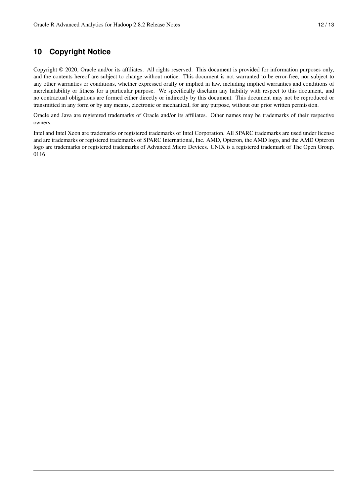## <span id="page-14-0"></span>**10 Copyright Notice**

Copyright © 2020, Oracle and/or its affiliates. All rights reserved. This document is provided for information purposes only, and the contents hereof are subject to change without notice. This document is not warranted to be error-free, nor subject to any other warranties or conditions, whether expressed orally or implied in law, including implied warranties and conditions of merchantability or fitness for a particular purpose. We specifically disclaim any liability with respect to this document, and no contractual obligations are formed either directly or indirectly by this document. This document may not be reproduced or transmitted in any form or by any means, electronic or mechanical, for any purpose, without our prior written permission.

Oracle and Java are registered trademarks of Oracle and/or its affiliates. Other names may be trademarks of their respective owners.

Intel and Intel Xeon are trademarks or registered trademarks of Intel Corporation. All SPARC trademarks are used under license and are trademarks or registered trademarks of SPARC International, Inc. AMD, Opteron, the AMD logo, and the AMD Opteron logo are trademarks or registered trademarks of Advanced Micro Devices. UNIX is a registered trademark of The Open Group. 0116